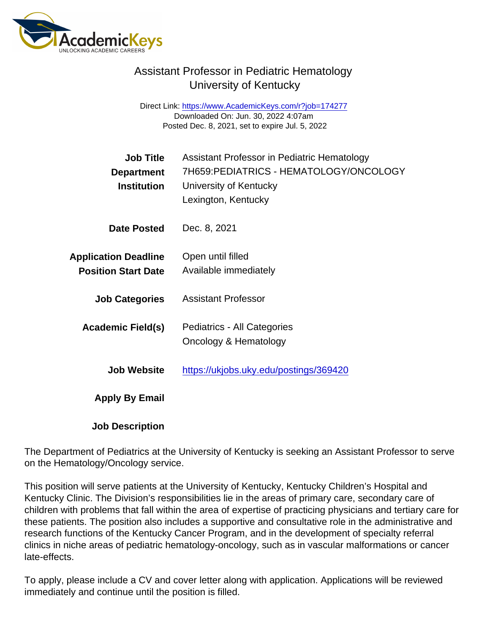## Assistant Professor in Pediatric Hematology University of Kentucky

Direct Link: <https://www.AcademicKeys.com/r?job=174277> Downloaded On: Jun. 30, 2022 4:07am Posted Dec. 8, 2021, set to expire Jul. 5, 2022

| <b>Job Title</b><br>Department<br>Institution             | Assistant Professor in Pediatric Hematology<br>7H659: PEDIATRICS - HEMATOLOGY/ONCOLOGY<br>University of Kentucky<br>Lexington, Kentucky |
|-----------------------------------------------------------|-----------------------------------------------------------------------------------------------------------------------------------------|
| Date Posted                                               | Dec. 8, 2021                                                                                                                            |
| <b>Application Deadline</b><br><b>Position Start Date</b> | Open until filled<br>Available immediately                                                                                              |
| <b>Job Categories</b>                                     | <b>Assistant Professor</b>                                                                                                              |
| Academic Field(s)                                         | Pediatrics - All Categories<br>Oncology & Hematology                                                                                    |
| Job Website                                               | https://ukjobs.uky.edu/postings/369420                                                                                                  |
| Apply By Email                                            |                                                                                                                                         |
| <b>Job Description</b>                                    |                                                                                                                                         |

The Department of Pediatrics at the University of Kentucky is seeking an Assistant Professor to serve on the Hematology/Oncology service.

This position will serve patients at the University of Kentucky, Kentucky Children's Hospital and Kentucky Clinic. The Division's responsibilities lie in the areas of primary care, secondary care of children with problems that fall within the area of expertise of practicing physicians and tertiary care for these patients. The position also includes a supportive and consultative role in the administrative and research functions of the Kentucky Cancer Program, and in the development of specialty referral clinics in niche areas of pediatric hematology-oncology, such as in vascular malformations or cancer late-effects.

To apply, please include a CV and cover letter along with application. Applications will be reviewed immediately and continue until the position is filled.